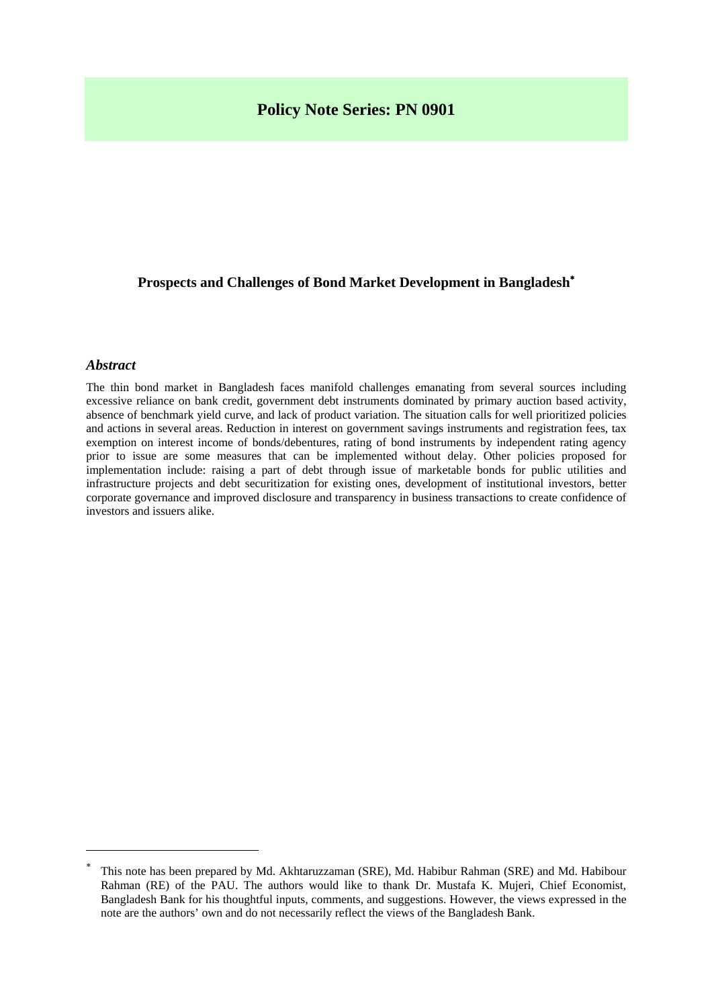# **Policy Note Series: PN 0901**

# **Prospects and Challenges of Bond Market Development in Bangladesh**[∗](#page-0-0)

#### *Abstract*

 $\overline{a}$ 

The thin bond market in Bangladesh faces manifold challenges emanating from several sources including excessive reliance on bank credit, government debt instruments dominated by primary auction based activity, absence of benchmark yield curve, and lack of product variation. The situation calls for well prioritized policies and actions in several areas. Reduction in interest on government savings instruments and registration fees, tax exemption on interest income of bonds/debentures, rating of bond instruments by independent rating agency prior to issue are some measures that can be implemented without delay. Other policies proposed for implementation include: raising a part of debt through issue of marketable bonds for public utilities and infrastructure projects and debt securitization for existing ones, development of institutional investors, better corporate governance and improved disclosure and transparency in business transactions to create confidence of investors and issuers alike.

<span id="page-0-0"></span><sup>∗</sup> This note has been prepared by Md. Akhtaruzzaman (SRE), Md. Habibur Rahman (SRE) and Md. Habibour Rahman (RE) of the PAU. The authors would like to thank Dr. Mustafa K. Mujeri, Chief Economist, Bangladesh Bank for his thoughtful inputs, comments, and suggestions. However, the views expressed in the note are the authors' own and do not necessarily reflect the views of the Bangladesh Bank.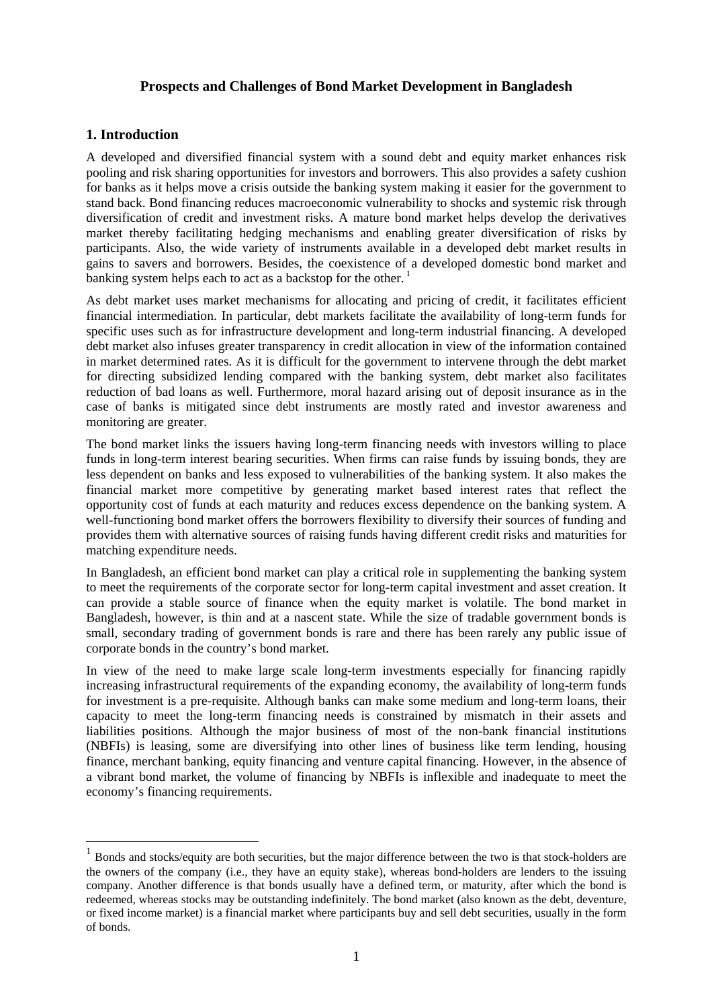#### **Prospects and Challenges of Bond Market Development in Bangladesh**

# **1. Introduction**

 $\overline{a}$ 

A developed and diversified financial system with a sound debt and equity market enhances risk pooling and risk sharing opportunities for investors and borrowers. This also provides a safety cushion for banks as it helps move a crisis outside the banking system making it easier for the government to stand back. Bond financing reduces macroeconomic vulnerability to shocks and systemic risk through diversification of credit and investment risks. A mature bond market helps develop the derivatives market thereby facilitating hedging mechanisms and enabling greater diversification of risks by participants. Also, the wide variety of instruments available in a developed debt market results in gains to savers and borrowers. Besides, the coexistence of a developed domestic bond market and banking system helps each to act as a backstop for the other.<sup>[1](#page-1-0)</sup>

As debt market uses market mechanisms for allocating and pricing of credit, it facilitates efficient financial intermediation. In particular, debt markets facilitate the availability of long-term funds for specific uses such as for infrastructure development and long-term industrial financing. A developed debt market also infuses greater transparency in credit allocation in view of the information contained in market determined rates. As it is difficult for the government to intervene through the debt market for directing subsidized lending compared with the banking system, debt market also facilitates reduction of bad loans as well. Furthermore, moral hazard arising out of deposit insurance as in the case of banks is mitigated since debt instruments are mostly rated and investor awareness and monitoring are greater.

The bond market links the issuers having long-term financing needs with investors willing to place funds in long-term interest bearing securities. When firms can raise funds by issuing bonds, they are less dependent on banks and less exposed to vulnerabilities of the banking system. It also makes the financial market more competitive by generating market based interest rates that reflect the opportunity cost of funds at each maturity and reduces excess dependence on the banking system. A well-functioning bond market offers the borrowers flexibility to diversify their sources of funding and provides them with alternative sources of raising funds having different credit risks and maturities for matching expenditure needs.

In Bangladesh, an efficient bond market can play a critical role in supplementing the banking system to meet the requirements of the corporate sector for long-term capital investment and asset creation. It can provide a stable source of finance when the equity market is volatile. The bond market in Bangladesh, however, is thin and at a nascent state. While the size of tradable government bonds is small, secondary trading of government bonds is rare and there has been rarely any public issue of corporate bonds in the country's bond market.

In view of the need to make large scale long-term investments especially for financing rapidly increasing infrastructural requirements of the expanding economy, the availability of long-term funds for investment is a pre-requisite. Although banks can make some medium and long-term loans, their capacity to meet the long-term financing needs is constrained by mismatch in their assets and liabilities positions. Although the major business of most of the non-bank financial institutions (NBFIs) is leasing, some are diversifying into other lines of business like term lending, housing finance, merchant banking, equity financing and venture capital financing. However, in the absence of a vibrant bond market, the volume of financing by NBFIs is inflexible and inadequate to meet the economy's financing requirements.

<span id="page-1-0"></span><sup>1</sup> Bonds and stocks/equity are both [securities,](http://en.wikipedia.org/wiki/Security_(finance)) but the major difference between the two is that stock-holders are the owners of the company (i.e., they have an [equity](http://en.wikipedia.org/wiki/Stock) stake), whereas bond-holders are lenders to the issuing company. Another difference is that bonds usually have a defined term, or maturity, after which the bond is redeemed, whereas stocks may be outstanding indefinitely. The bond market (also known as the debt, deventure, or fixed income market) is a [financial market](http://en.wikipedia.org/wiki/Financial_market) where participants buy and sell [debt](http://en.wikipedia.org/wiki/Debt) [securities,](http://en.wikipedia.org/wiki/Security_(finance)) usually in the form of [bonds.](http://en.wikipedia.org/wiki/Bond_(finance))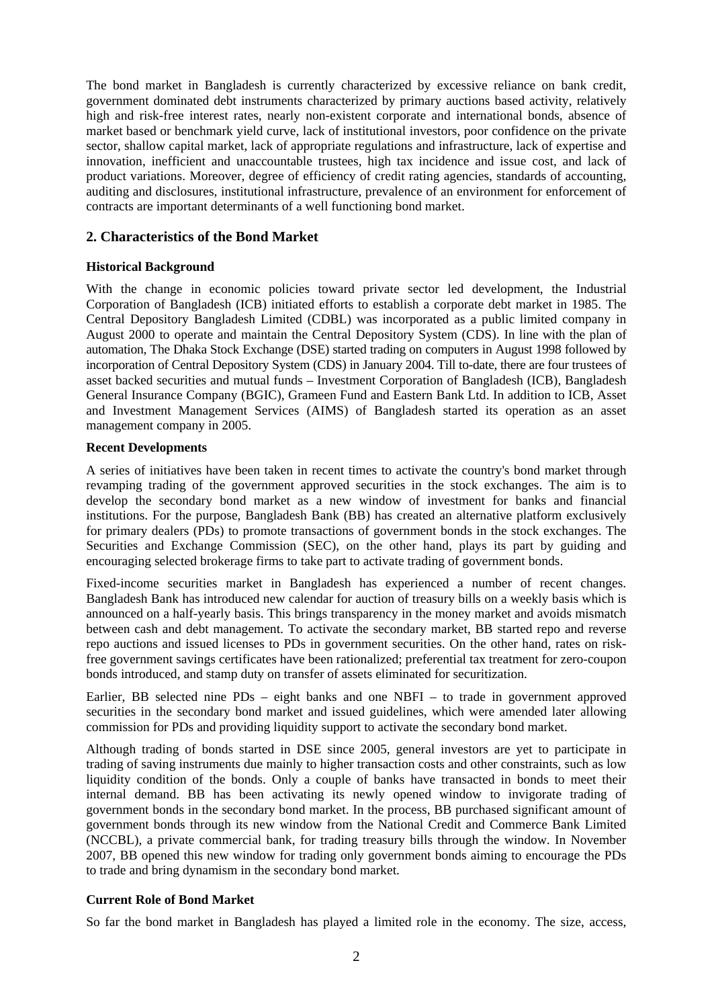The bond market in Bangladesh is currently characterized by excessive reliance on bank credit, government dominated debt instruments characterized by primary auctions based activity, relatively high and risk-free interest rates, nearly non-existent corporate and international bonds, absence of market based or benchmark yield curve, lack of institutional investors, poor confidence on the private sector, shallow capital market, lack of appropriate regulations and infrastructure, lack of expertise and innovation, inefficient and unaccountable trustees, high tax incidence and issue cost, and lack of product variations. Moreover, degree of efficiency of credit rating agencies, standards of accounting, auditing and disclosures, institutional infrastructure, prevalence of an environment for enforcement of contracts are important determinants of a well functioning bond market.

#### **2. Characteristics of the Bond Market**

#### **Historical Background**

With the change in economic policies toward private sector led development, the Industrial Corporation of Bangladesh (ICB) initiated efforts to establish a corporate debt market in 1985. The Central Depository Bangladesh Limited (CDBL) was incorporated as a public limited company in August 2000 to operate and maintain the Central Depository System (CDS). In line with the plan of automation, The Dhaka Stock Exchange (DSE) started trading on computers in August 1998 followed by incorporation of Central Depository System (CDS) in January 2004. Till to-date, there are four trustees of asset backed securities and mutual funds – Investment Corporation of Bangladesh (ICB), Bangladesh General Insurance Company (BGIC), Grameen Fund and Eastern Bank Ltd. In addition to ICB, Asset and Investment Management Services (AIMS) of Bangladesh started its operation as an asset management company in 2005.

#### **Recent Developments**

A series of initiatives have been taken in recent times to activate the country's bond market through revamping trading of the government approved securities in the stock exchanges. The aim is to develop the secondary bond market as a new window of investment for banks and financial institutions. For the purpose, Bangladesh Bank (BB) has created an alternative platform exclusively for primary dealers (PDs) to promote transactions of government bonds in the stock exchanges. The Securities and Exchange Commission (SEC), on the other hand, plays its part by guiding and encouraging selected brokerage firms to take part to activate trading of government bonds.

Fixed-income securities market in Bangladesh has experienced a number of recent changes. Bangladesh Bank has introduced new calendar for auction of treasury bills on a weekly basis which is announced on a half-yearly basis. This brings transparency in the money market and avoids mismatch between cash and debt management. To activate the secondary market, BB started repo and reverse repo auctions and issued licenses to PDs in government securities. On the other hand, rates on riskfree government savings certificates have been rationalized; preferential tax treatment for zero-coupon bonds introduced, and stamp duty on transfer of assets eliminated for securitization.

Earlier, BB selected nine PDs – eight banks and one NBFI – to trade in government approved securities in the secondary bond market and issued guidelines, which were amended later allowing commission for PDs and providing liquidity support to activate the secondary bond market.

Although trading of bonds started in DSE since 2005, general investors are yet to participate in trading of saving instruments due mainly to higher transaction costs and other constraints, such as low liquidity condition of the bonds. Only a couple of banks have transacted in bonds to meet their internal demand. BB has been activating its newly opened window to invigorate trading of government bonds in the secondary bond market. In the process, BB purchased significant amount of government bonds through its new window from the National Credit and Commerce Bank Limited (NCCBL), a private commercial bank, for trading treasury bills through the window. In November 2007, BB opened this new window for trading only government bonds aiming to encourage the PDs to trade and bring dynamism in the secondary bond market.

# **Current Role of Bond Market**

So far the bond market in Bangladesh has played a limited role in the economy. The size, access,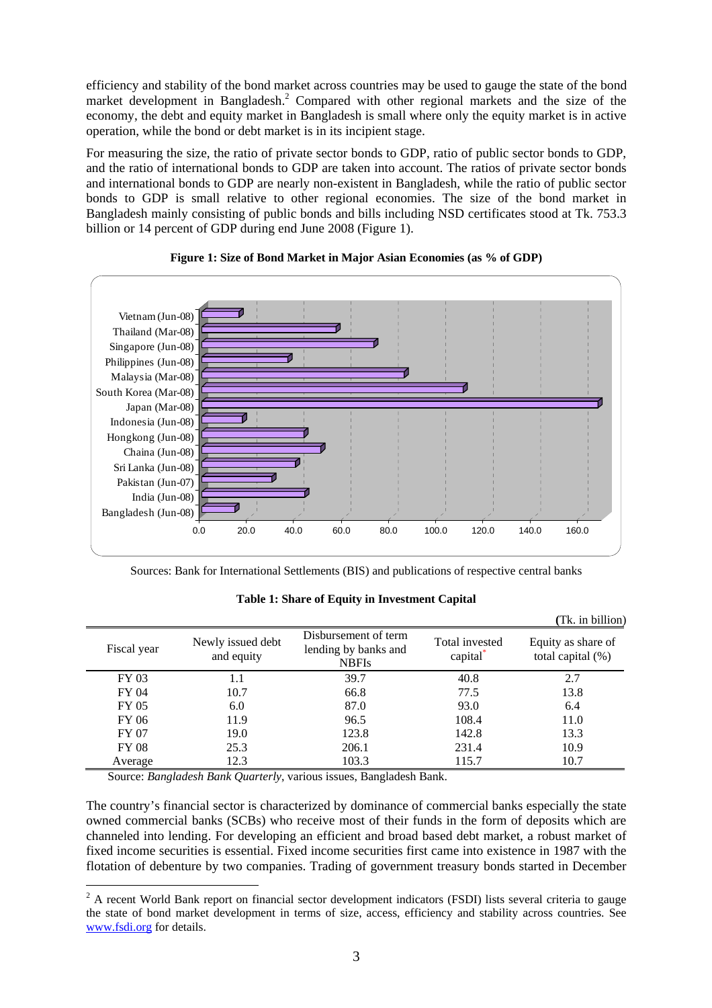efficiency and stability of the bond market across countries may be used to gauge the state of the bond market development in Bangladesh[.](#page-3-0)<sup>2</sup> Compared with other regional markets and the size of the economy, the debt and equity market in Bangladesh is small where only the equity market is in active operation, while the bond or debt market is in its incipient stage.

For measuring the size, the ratio of private sector bonds to GDP, ratio of public sector bonds to GDP, and the ratio of international bonds to GDP are taken into account. The ratios of private sector bonds and international bonds to GDP are nearly non-existent in Bangladesh, while the ratio of public sector bonds to GDP is small relative to other regional economies. The size of the bond market in Bangladesh mainly consisting of public bonds and bills including NSD certificates stood at Tk. 753.3 billion or 14 percent of GDP during end June 2008 (Figure 1).



#### **Figure 1: Size of Bond Market in Major Asian Economies (as % of GDP)**

Sources: Bank for International Settlements (BIS) and publications of respective central banks

|              |                                 |                                                              |                                        | (Tk. in billion)                           |
|--------------|---------------------------------|--------------------------------------------------------------|----------------------------------------|--------------------------------------------|
| Fiscal year  | Newly issued debt<br>and equity | Disbursement of term<br>lending by banks and<br><b>NBFIs</b> | Total invested<br>capital <sup>*</sup> | Equity as share of<br>total capital $(\%)$ |
| FY 03        | 1.1                             | 39.7                                                         | 40.8                                   | 2.7                                        |
| FY 04        | 10.7                            | 66.8                                                         | 77.5                                   | 13.8                                       |
| FY 05        | 6.0                             | 87.0                                                         | 93.0                                   | 6.4                                        |
| FY 06        | 11.9                            | 96.5                                                         | 108.4                                  | 11.0                                       |
| FY 07        | 19.0                            | 123.8                                                        | 142.8                                  | 13.3                                       |
| <b>FY 08</b> | 25.3                            | 206.1                                                        | 231.4                                  | 10.9                                       |
| Average      | 12.3                            | 103.3                                                        | 115.7                                  | 10.7                                       |

# **Table 1: Share of Equity in Investment Capital**

Source: *Bangladesh Bank Quarterly*, various issues, Bangladesh Bank.

 $\overline{a}$ 

The country's financial sector is characterized by dominance of commercial banks especially the state owned commercial banks (SCBs) who receive most of their funds in the form of deposits which are channeled into lending. For developing an efficient and broad based debt market, a robust market of fixed income securities is essential. Fixed income securities first came into existence in 1987 with the flotation of debenture by two companies. Trading of government treasury bonds started in December

<span id="page-3-0"></span> $2$  A recent World Bank report on financial sector development indicators (FSDI) lists several criteria to gauge the state of bond market development in terms of size, access, efficiency and stability across countries. See [www.fsdi.org](http://www.fsdi.org/) for details.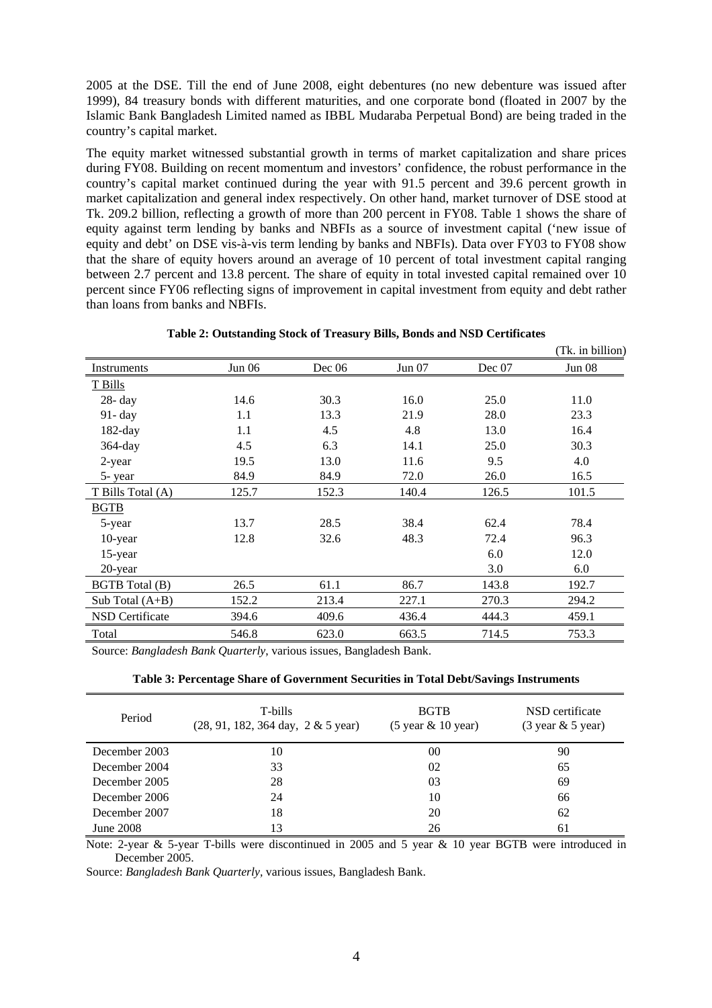2005 at the DSE. Till the end of June 2008, eight debentures (no new debenture was issued after 1999), 84 treasury bonds with different maturities, and one corporate bond (floated in 2007 by the Islamic Bank Bangladesh Limited named as IBBL Mudaraba Perpetual Bond) are being traded in the country's capital market.

The equity market witnessed substantial growth in terms of market capitalization and share prices during FY08. Building on recent momentum and investors' confidence, the robust performance in the country's capital market continued during the year with 91.5 percent and 39.6 percent growth in market capitalization and general index respectively. On other hand, market turnover of DSE stood at Tk. 209.2 billion, reflecting a growth of more than 200 percent in FY08. Table 1 shows the share of equity against term lending by banks and NBFIs as a source of investment capital ('new issue of equity and debt' on DSE vis-à-vis term lending by banks and NBFIs). Data over FY03 to FY08 show that the share of equity hovers around an average of 10 percent of total investment capital ranging between 2.7 percent and 13.8 percent. The share of equity in total invested capital remained over 10 percent since FY06 reflecting signs of improvement in capital investment from equity and debt rather than loans from banks and NBFIs.

|                       |        |        |        |        | (Tk. in billion) |
|-----------------------|--------|--------|--------|--------|------------------|
| Instruments           | Jun 06 | Dec 06 | Jun 07 | Dec 07 | Jun 08           |
| T Bills               |        |        |        |        |                  |
| 28- day               | 14.6   | 30.3   | 16.0   | 25.0   | 11.0             |
| 91- day               | 1.1    | 13.3   | 21.9   | 28.0   | 23.3             |
| $182$ -day            | 1.1    | 4.5    | 4.8    | 13.0   | 16.4             |
| $364$ -day            | 4.5    | 6.3    | 14.1   | 25.0   | 30.3             |
| 2-year                | 19.5   | 13.0   | 11.6   | 9.5    | 4.0              |
| 5-year                | 84.9   | 84.9   | 72.0   | 26.0   | 16.5             |
| T Bills Total (A)     | 125.7  | 152.3  | 140.4  | 126.5  | 101.5            |
| <b>BGTB</b>           |        |        |        |        |                  |
| 5-year                | 13.7   | 28.5   | 38.4   | 62.4   | 78.4             |
| 10-year               | 12.8   | 32.6   | 48.3   | 72.4   | 96.3             |
| 15-year               |        |        |        | 6.0    | 12.0             |
| $20$ -year            |        |        |        | 3.0    | 6.0              |
| <b>BGTB</b> Total (B) | 26.5   | 61.1   | 86.7   | 143.8  | 192.7            |
| Sub Total $(A+B)$     | 152.2  | 213.4  | 227.1  | 270.3  | 294.2            |
| NSD Certificate       | 394.6  | 409.6  | 436.4  | 444.3  | 459.1            |
| Total                 | 546.8  | 623.0  | 663.5  | 714.5  | 753.3            |

**Table 2: Outstanding Stock of Treasury Bills, Bonds and NSD Certificates** 

Source: *Bangladesh Bank Quarterly*, various issues, Bangladesh Bank.

|  | Table 3: Percentage Share of Government Securities in Total Debt/Savings Instruments |  |  |
|--|--------------------------------------------------------------------------------------|--|--|
|  |                                                                                      |  |  |

| Period        | T-bills<br>$(28, 91, 182, 364 \text{ day}, 2 \& 5 \text{ year})$ | <b>BGTB</b><br>$(5$ year $\&$ 10 year) | NSD certificate<br>$(3 \text{ year } \& 5 \text{ year})$ |
|---------------|------------------------------------------------------------------|----------------------------------------|----------------------------------------------------------|
| December 2003 | 10                                                               | 00                                     | 90                                                       |
| December 2004 | 33                                                               | 02                                     | 65                                                       |
| December 2005 | 28                                                               | 03                                     | 69                                                       |
| December 2006 | 24                                                               | 10                                     | 66                                                       |
| December 2007 | 18                                                               | 20                                     | 62                                                       |
| June 2008     | 13                                                               | 26                                     | 61                                                       |

Note: 2-year & 5-year T-bills were discontinued in 2005 and 5 year & 10 year BGTB were introduced in December 2005.

Source: *Bangladesh Bank Quarterly,* various issues, Bangladesh Bank.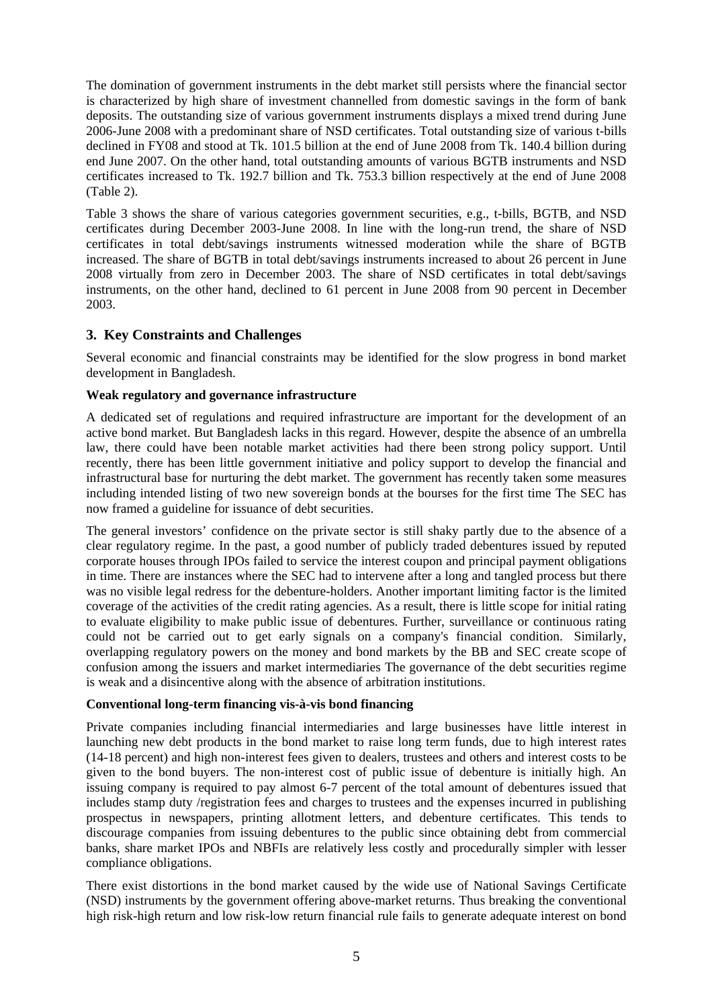The domination of government instruments in the debt market still persists where the financial sector is characterized by high share of investment channelled from domestic savings in the form of bank deposits. The outstanding size of various government instruments displays a mixed trend during June 2006-June 2008 with a predominant share of NSD certificates. Total outstanding size of various t-bills declined in FY08 and stood at Tk. 101.5 billion at the end of June 2008 from Tk. 140.4 billion during end June 2007. On the other hand, total outstanding amounts of various BGTB instruments and NSD certificates increased to Tk. 192.7 billion and Tk. 753.3 billion respectively at the end of June 2008 (Table 2).

Table 3 shows the share of various categories government securities, e.g., t-bills, BGTB, and NSD certificates during December 2003-June 2008. In line with the long-run trend, the share of NSD certificates in total debt/savings instruments witnessed moderation while the share of BGTB increased. The share of BGTB in total debt/savings instruments increased to about 26 percent in June 2008 virtually from zero in December 2003. The share of NSD certificates in total debt/savings instruments, on the other hand, declined to 61 percent in June 2008 from 90 percent in December 2003.

# **3. Key Constraints and Challenges**

Several economic and financial constraints may be identified for the slow progress in bond market development in Bangladesh.

#### **Weak regulatory and governance infrastructure**

A dedicated set of regulations and required infrastructure are important for the development of an active bond market. But Bangladesh lacks in this regard. However, despite the absence of an umbrella law, there could have been notable market activities had there been strong policy support. Until recently, there has been little government initiative and policy support to develop the financial and infrastructural base for nurturing the debt market. The government has recently taken some measures including intended listing of two new sovereign bonds at the bourses for the first time The SEC has now framed a guideline for issuance of debt securities.

The general investors' confidence on the private sector is still shaky partly due to the absence of a clear regulatory regime. In the past, a good number of publicly traded debentures issued by reputed corporate houses through IPOs failed to service the interest coupon and principal payment obligations in time. There are instances where the SEC had to intervene after a long and tangled process but there was no visible legal redress for the debenture-holders. Another important limiting factor is the limited coverage of the activities of the credit rating agencies. As a result, there is little scope for initial rating to evaluate eligibility to make public issue of debentures. Further, surveillance or continuous rating could not be carried out to get early signals on a company's financial condition. Similarly, overlapping regulatory powers on the money and bond markets by the BB and SEC create scope of confusion among the issuers and market intermediaries The governance of the debt securities regime is weak and a disincentive along with the absence of arbitration institutions.

#### **Conventional long-term financing vis-à-vis bond financing**

Private companies including financial intermediaries and large businesses have little interest in launching new debt products in the bond market to raise long term funds, due to high interest rates (14-18 percent) and high non-interest fees given to dealers, trustees and others and interest costs to be given to the bond buyers. The non-interest cost of public issue of debenture is initially high. An issuing company is required to pay almost 6-7 percent of the total amount of debentures issued that includes stamp duty /registration fees and charges to trustees and the expenses incurred in publishing prospectus in newspapers, printing allotment letters, and debenture certificates. This tends to discourage companies from issuing debentures to the public since obtaining debt from commercial banks, share market IPOs and NBFIs are relatively less costly and procedurally simpler with lesser compliance obligations.

There exist distortions in the bond market caused by the wide use of National Savings Certificate (NSD) instruments by the government offering above-market returns. Thus breaking the conventional high risk-high return and low risk-low return financial rule fails to generate adequate interest on bond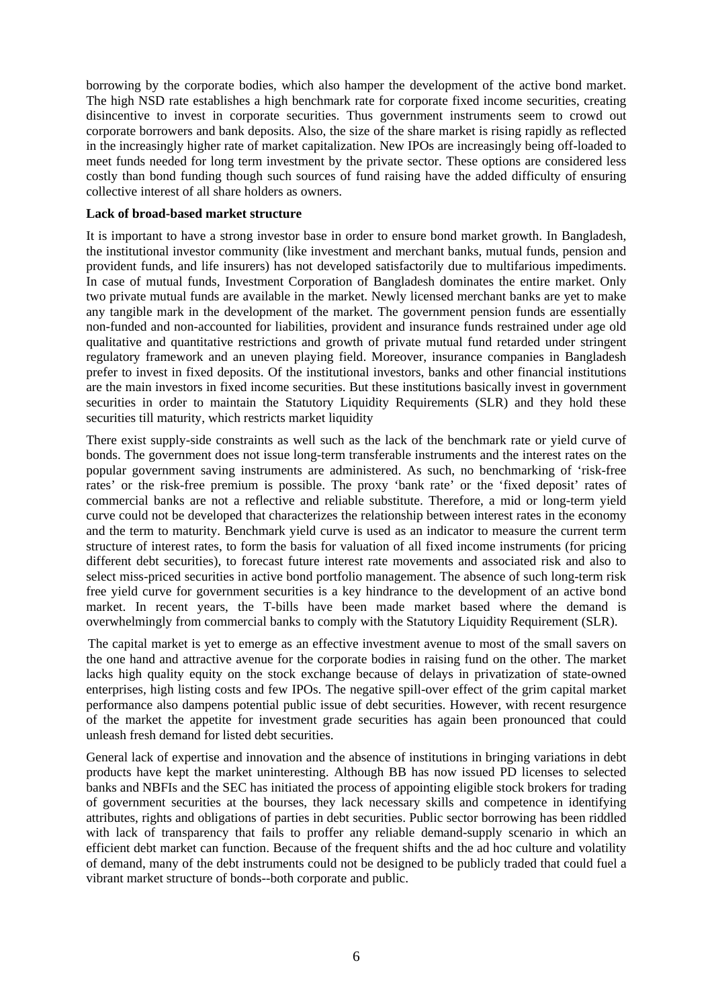borrowing by the corporate bodies, which also hamper the development of the active bond market. The high NSD rate establishes a high benchmark rate for corporate fixed income securities, creating disincentive to invest in corporate securities. Thus government instruments seem to crowd out corporate borrowers and bank deposits. Also, the size of the share market is rising rapidly as reflected in the increasingly higher rate of market capitalization. New IPOs are increasingly being off-loaded to meet funds needed for long term investment by the private sector. These options are considered less costly than bond funding though such sources of fund raising have the added difficulty of ensuring collective interest of all share holders as owners.

#### **Lack of broad-based market structure**

It is important to have a strong investor base in order to ensure bond market growth. In Bangladesh, the institutional investor community (like investment and merchant banks, mutual funds, pension and provident funds, and life insurers) has not developed satisfactorily due to multifarious impediments. In case of mutual funds, Investment Corporation of Bangladesh dominates the entire market. Only two private mutual funds are available in the market. Newly licensed merchant banks are yet to make any tangible mark in the development of the market. The government pension funds are essentially non-funded and non-accounted for liabilities, provident and insurance funds restrained under age old qualitative and quantitative restrictions and growth of private mutual fund retarded under stringent regulatory framework and an uneven playing field. Moreover, insurance companies in Bangladesh prefer to invest in fixed deposits. Of the institutional investors, banks and other financial institutions are the main investors in fixed income securities. But these institutions basically invest in government securities in order to maintain the Statutory Liquidity Requirements (SLR) and they hold these securities till maturity, which restricts market liquidity

There exist supply-side constraints as well such as the lack of the benchmark rate or yield curve of bonds. The government does not issue long-term transferable instruments and the interest rates on the popular government saving instruments are administered. As such, no benchmarking of 'risk-free rates' or the risk-free premium is possible. The proxy 'bank rate' or the 'fixed deposit' rates of commercial banks are not a reflective and reliable substitute. Therefore, a mid or long-term yield curve could not be developed that characterizes the relationship between interest rates in the economy and the term to maturity. Benchmark yield curve is used as an indicator to measure the current term structure of interest rates, to form the basis for valuation of all fixed income instruments (for pricing different debt securities), to forecast future interest rate movements and associated risk and also to select miss-priced securities in active bond portfolio management. The absence of such long-term risk free yield curve for government securities is a key hindrance to the development of an active bond market. In recent years, the T-bills have been made market based where the demand is overwhelmingly from commercial banks to comply with the Statutory Liquidity Requirement (SLR).

The capital market is yet to emerge as an effective investment avenue to most of the small savers on the one hand and attractive avenue for the corporate bodies in raising fund on the other. The market lacks high quality equity on the stock exchange because of delays in privatization of state-owned enterprises, high listing costs and few IPOs. The negative spill-over effect of the grim capital market performance also dampens potential public issue of debt securities. However, with recent resurgence of the market the appetite for investment grade securities has again been pronounced that could unleash fresh demand for listed debt securities.

General lack of expertise and innovation and the absence of institutions in bringing variations in debt products have kept the market uninteresting. Although BB has now issued PD licenses to selected banks and NBFIs and the SEC has initiated the process of appointing eligible stock brokers for trading of government securities at the bourses, they lack necessary skills and competence in identifying attributes, rights and obligations of parties in debt securities. Public sector borrowing has been riddled with lack of transparency that fails to proffer any reliable demand-supply scenario in which an efficient debt market can function. Because of the frequent shifts and the ad hoc culture and volatility of demand, many of the debt instruments could not be designed to be publicly traded that could fuel a vibrant market structure of bonds--both corporate and public.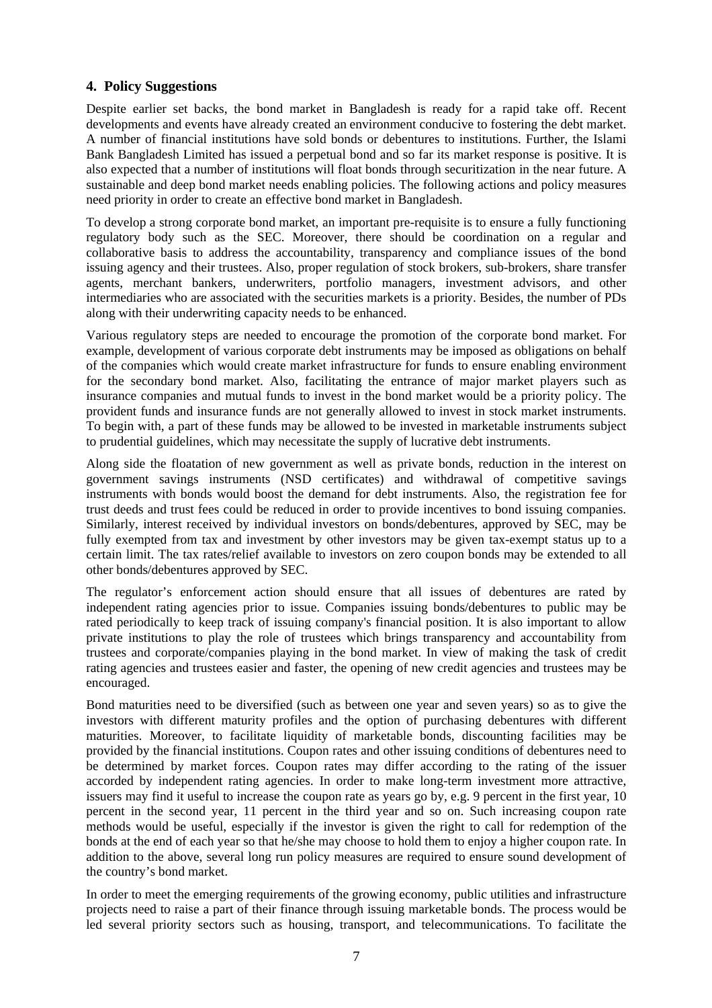# **4. Policy Suggestions**

Despite earlier set backs, the bond market in Bangladesh is ready for a rapid take off. Recent developments and events have already created an environment conducive to fostering the debt market. A number of financial institutions have sold bonds or debentures to institutions. Further, the Islami Bank Bangladesh Limited has issued a perpetual bond and so far its market response is positive. It is also expected that a number of institutions will float bonds through securitization in the near future. A sustainable and deep bond market needs enabling policies. The following actions and policy measures need priority in order to create an effective bond market in Bangladesh.

To develop a strong corporate bond market, an important pre-requisite is to ensure a fully functioning regulatory body such as the SEC. Moreover, there should be coordination on a regular and collaborative basis to address the accountability, transparency and compliance issues of the bond issuing agency and their trustees. Also, proper regulation of stock brokers, sub-brokers, share transfer agents, merchant bankers, underwriters, portfolio managers, investment advisors, and other intermediaries who are associated with the securities markets is a priority. Besides, the number of PDs along with their underwriting capacity needs to be enhanced.

Various regulatory steps are needed to encourage the promotion of the corporate bond market. For example, development of various corporate debt instruments may be imposed as obligations on behalf of the companies which would create market infrastructure for funds to ensure enabling environment for the secondary bond market. Also, facilitating the entrance of major market players such as insurance companies and mutual funds to invest in the bond market would be a priority policy. The provident funds and insurance funds are not generally allowed to invest in stock market instruments. To begin with, a part of these funds may be allowed to be invested in marketable instruments subject to prudential guidelines, which may necessitate the supply of lucrative debt instruments.

Along side the floatation of new government as well as private bonds, reduction in the interest on government savings instruments (NSD certificates) and withdrawal of competitive savings instruments with bonds would boost the demand for debt instruments. Also, the registration fee for trust deeds and trust fees could be reduced in order to provide incentives to bond issuing companies. Similarly, interest received by individual investors on bonds/debentures, approved by SEC, may be fully exempted from tax and investment by other investors may be given tax-exempt status up to a certain limit. The tax rates/relief available to investors on zero coupon bonds may be extended to all other bonds/debentures approved by SEC.

The regulator's enforcement action should ensure that all issues of debentures are rated by independent rating agencies prior to issue. Companies issuing bonds/debentures to public may be rated periodically to keep track of issuing company's financial position. It is also important to allow private institutions to play the role of trustees which brings transparency and accountability from trustees and corporate/companies playing in the bond market. In view of making the task of credit rating agencies and trustees easier and faster, the opening of new credit agencies and trustees may be encouraged.

Bond maturities need to be diversified (such as between one year and seven years) so as to give the investors with different maturity profiles and the option of purchasing debentures with different maturities. Moreover, to facilitate liquidity of marketable bonds, discounting facilities may be provided by the financial institutions. Coupon rates and other issuing conditions of debentures need to be determined by market forces. Coupon rates may differ according to the rating of the issuer accorded by independent rating agencies. In order to make long-term investment more attractive, issuers may find it useful to increase the coupon rate as years go by, e.g. 9 percent in the first year, 10 percent in the second year, 11 percent in the third year and so on. Such increasing coupon rate methods would be useful, especially if the investor is given the right to call for redemption of the bonds at the end of each year so that he/she may choose to hold them to enjoy a higher coupon rate. In addition to the above, several long run policy measures are required to ensure sound development of the country's bond market.

In order to meet the emerging requirements of the growing economy, public utilities and infrastructure projects need to raise a part of their finance through issuing marketable bonds. The process would be led several priority sectors such as housing, transport, and telecommunications. To facilitate the